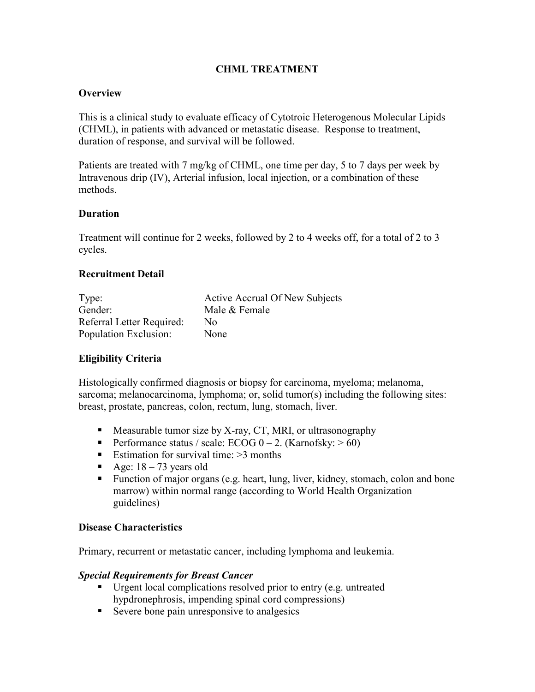## **CHML TREATMENT**

### **Overview**

This is a clinical study to evaluate efficacy of Cytotroic Heterogenous Molecular Lipids (CHML), in patients with advanced or metastatic disease. Response to treatment, duration of response, and survival will be followed.

Patients are treated with 7 mg/kg of CHML, one time per day, 5 to 7 days per week by Intravenous drip (IV), Arterial infusion, local injection, or a combination of these methods.

#### **Duration**

Treatment will continue for 2 weeks, followed by 2 to 4 weeks off, for a total of 2 to 3 cycles.

### **Recruitment Detail**

| Type:                     | Active Accrual Of New Subjects |
|---------------------------|--------------------------------|
| Gender:                   | Male & Female                  |
| Referral Letter Required: | No.                            |
| Population Exclusion:     | None                           |

## **Eligibility Criteria**

Histologically confirmed diagnosis or biopsy for carcinoma, myeloma; melanoma, sarcoma; melanocarcinoma, lymphoma; or, solid tumor(s) including the following sites: breast, prostate, pancreas, colon, rectum, lung, stomach, liver.

- $\blacksquare$  Measurable tumor size by X-ray, CT, MRI, or ultrasonography
- Performance status / scale: ECOG  $0 2$ . (Karnofsky:  $> 60$ )
- Estimation for survival time:  $>3$  months
- Age:  $18 73$  years old
- Function of major organs (e.g. heart, lung, liver, kidney, stomach, colon and bone marrow) within normal range (according to World Health Organization guidelines)

#### **Disease Characteristics**

Primary, recurrent or metastatic cancer, including lymphoma and leukemia.

#### *Special Requirements for Breast Cancer*

- Urgent local complications resolved prior to entry (e.g. untreated hypdronephrosis, impending spinal cord compressions)
- Severe bone pain unresponsive to analgesics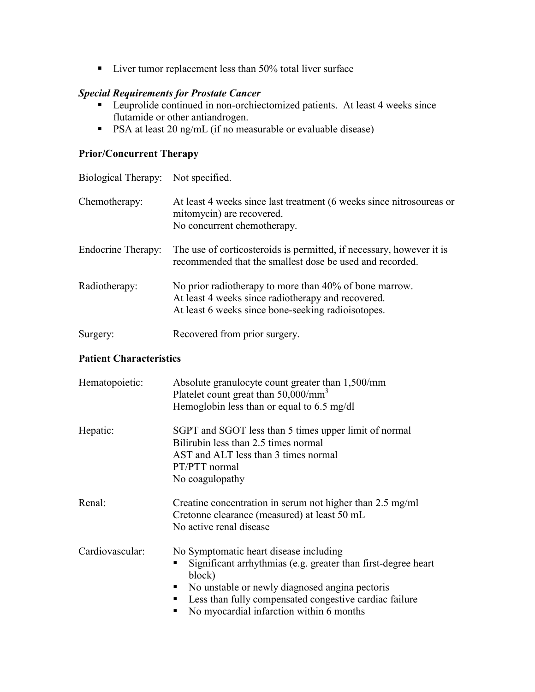■ Liver tumor replacement less than 50% total liver surface

## *Special Requirements for Prostate Cancer*

- Leuprolide continued in non-orchiectomized patients. At least 4 weeks since flutamide or other antiandrogen.
- **PSA** at least 20 ng/mL (if no measurable or evaluable disease)

## **Prior/Concurrent Therapy**

| Biological Therapy: Not specified. |                                                                                                                                                                    |
|------------------------------------|--------------------------------------------------------------------------------------------------------------------------------------------------------------------|
| Chemotherapy:                      | At least 4 weeks since last treatment (6 weeks since nitrosoureas or<br>mitomycin) are recovered.<br>No concurrent chemotherapy.                                   |
| Endocrine Therapy:                 | The use of corticosteroids is permitted, if necessary, however it is<br>recommended that the smallest dose be used and recorded.                                   |
| Radiotherapy:                      | No prior radiotherapy to more than 40% of bone marrow.<br>At least 4 weeks since radiotherapy and recovered.<br>At least 6 weeks since bone-seeking radioisotopes. |
| Surgery:                           | Recovered from prior surgery.                                                                                                                                      |

# **Patient Characteristics**

| Hematopoietic:  | Absolute granulocyte count greater than 1,500/mm<br>Platelet count great than 50,000/mm <sup>3</sup><br>Hemoglobin less than or equal to 6.5 mg/dl                                                                                                                              |
|-----------------|---------------------------------------------------------------------------------------------------------------------------------------------------------------------------------------------------------------------------------------------------------------------------------|
| Hepatic:        | SGPT and SGOT less than 5 times upper limit of normal<br>Bilirubin less than 2.5 times normal<br>AST and ALT less than 3 times normal<br>PT/PTT normal<br>No coagulopathy                                                                                                       |
| Renal:          | Creatine concentration in serum not higher than 2.5 mg/ml<br>Cretonne clearance (measured) at least 50 mL<br>No active renal disease                                                                                                                                            |
| Cardiovascular: | No Symptomatic heart disease including<br>Significant arrhythmias (e.g. greater than first-degree heart)<br>block)<br>No unstable or newly diagnosed angina pectoris<br>Less than fully compensated congestive cardiac failure<br>٠<br>No myocardial infarction within 6 months |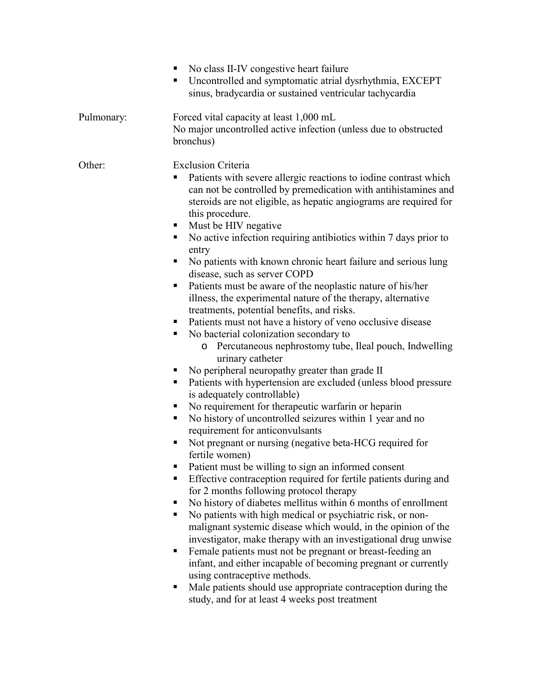|            | No class II-IV congestive heart failure<br>Uncontrolled and symptomatic atrial dysrhythmia, EXCEPT<br>ш<br>sinus, bradycardia or sustained ventricular tachycardia                                                                                                                                                                                                                                                                                                                                                                                                                                                                                                                                                                                                                                                                                                                                                                                                                                                                                                                                                                                                                                                                                                                                                                                                                                                                                                                                                                                                                                                                                                                                                                                                                                                                                                                                                                                                                                                    |
|------------|-----------------------------------------------------------------------------------------------------------------------------------------------------------------------------------------------------------------------------------------------------------------------------------------------------------------------------------------------------------------------------------------------------------------------------------------------------------------------------------------------------------------------------------------------------------------------------------------------------------------------------------------------------------------------------------------------------------------------------------------------------------------------------------------------------------------------------------------------------------------------------------------------------------------------------------------------------------------------------------------------------------------------------------------------------------------------------------------------------------------------------------------------------------------------------------------------------------------------------------------------------------------------------------------------------------------------------------------------------------------------------------------------------------------------------------------------------------------------------------------------------------------------------------------------------------------------------------------------------------------------------------------------------------------------------------------------------------------------------------------------------------------------------------------------------------------------------------------------------------------------------------------------------------------------------------------------------------------------------------------------------------------------|
| Pulmonary: | Forced vital capacity at least 1,000 mL<br>No major uncontrolled active infection (unless due to obstructed<br>bronchus)                                                                                                                                                                                                                                                                                                                                                                                                                                                                                                                                                                                                                                                                                                                                                                                                                                                                                                                                                                                                                                                                                                                                                                                                                                                                                                                                                                                                                                                                                                                                                                                                                                                                                                                                                                                                                                                                                              |
| Other:     | <b>Exclusion Criteria</b><br>Patients with severe allergic reactions to iodine contrast which<br>ш<br>can not be controlled by premedication with antihistamines and<br>steroids are not eligible, as hepatic angiograms are required for<br>this procedure.<br>Must be HIV negative<br>No active infection requiring antibiotics within 7 days prior to<br>ш<br>entry<br>No patients with known chronic heart failure and serious lung<br>٠<br>disease, such as server COPD<br>Patients must be aware of the neoplastic nature of his/her<br>п<br>illness, the experimental nature of the therapy, alternative<br>treatments, potential benefits, and risks.<br>Patients must not have a history of veno occlusive disease<br>No bacterial colonization secondary to<br>ш<br>Percutaneous nephrostomy tube, Ileal pouch, Indwelling<br>$\circ$<br>urinary catheter<br>No peripheral neuropathy greater than grade II<br>ш<br>Patients with hypertension are excluded (unless blood pressure<br>ш<br>is adequately controllable)<br>No requirement for therapeutic warfarin or heparin<br>٠<br>No history of uncontrolled seizures within 1 year and no<br>ш<br>requirement for anticonvulsants<br>Not pregnant or nursing (negative beta-HCG required for<br>fertile women)<br>Patient must be willing to sign an informed consent<br>Effective contraception required for fertile patients during and<br>п<br>for 2 months following protocol therapy<br>No history of diabetes mellitus within 6 months of enrollment<br>No patients with high medical or psychiatric risk, or non-<br>malignant systemic disease which would, in the opinion of the<br>investigator, make therapy with an investigational drug unwise<br>Female patients must not be pregnant or breast-feeding an<br>٠<br>infant, and either incapable of becoming pregnant or currently<br>using contraceptive methods.<br>Male patients should use appropriate contraception during the<br>ш<br>study, and for at least 4 weeks post treatment |